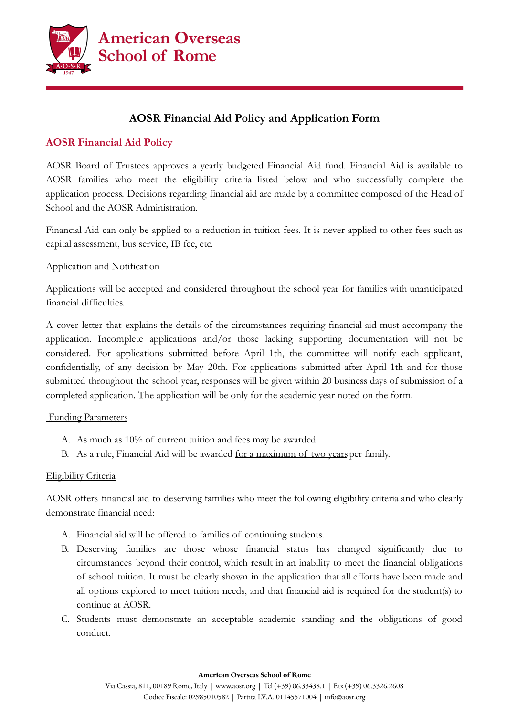

# **AOSR Financial Aid Policy and Application Form**

## **AOSR Financial Aid Policy**

AOSR Board of Trustees approves a yearly budgeted Financial Aid fund. Financial Aid is available to AOSR families who meet the eligibility criteria listed below and who successfully complete the application process. Decisions regarding financial aid are made by a committee composed of the Head of School and the AOSR Administration.

Financial Aid can only be applied to a reduction in tuition fees. It is never applied to other fees such as capital assessment, bus service, IB fee, etc.

### Application and Notification

Applications will be accepted and considered throughout the school year for families with unanticipated financial difficulties.

A cover letter that explains the details of the circumstances requiring financial aid must accompany the application. Incomplete applications and/or those lacking supporting documentation will not be considered. For applications submitted before April 1th, the committee will notify each applicant, confidentially, of any decision by May 20th. For applications submitted after April 1th and for those submitted throughout the school year, responses will be given within 20 business days of submission of a completed application. The application will be only for the academic year noted on the form.

#### Funding Parameters

- A. As much as 10% of current tuition and fees may be awarded.
- B. As a rule, Financial Aid will be awarded <u>for a maximum of two years</u> per family.

### Eligibility Criteria

AOSR offers financial aid to deserving families who meet the following eligibility criteria and who clearly demonstrate financial need:

- A. Financial aid will be offered to families of continuing students.
- B. Deserving families are those whose financial status has changed significantly due to circumstances beyond their control, which result in an inability to meet the financial obligations of school tuition. It must be clearly shown in the application that all efforts have been made and all options explored to meet tuition needs, and that financial aid is required for the student(s) to continue at AOSR.
- C. Students must demonstrate an acceptable academic standing and the obligations of good conduct.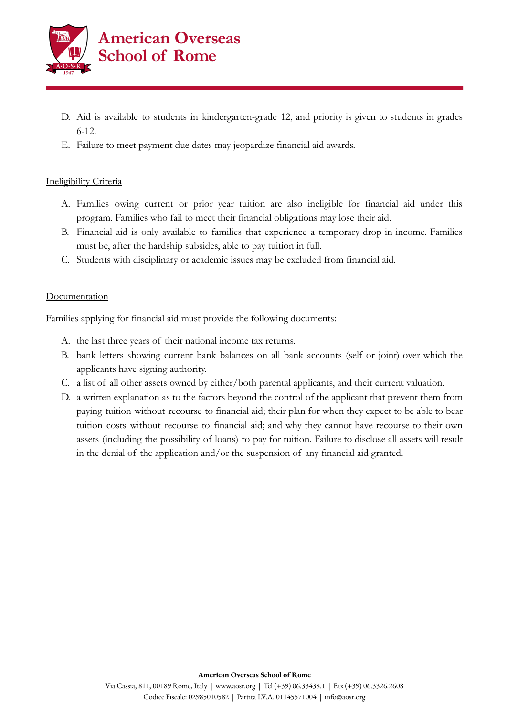

- D. Aid is available to students in kindergarten-grade 12, and priority is given to students in grades 6-12.
- E. Failure to meet payment due dates may jeopardize financial aid awards.

### Ineligibility Criteria

- A. Families owing current or prior year tuition are also ineligible for financial aid under this program. Families who fail to meet their financial obligations may lose their aid.
- B. Financial aid is only available to families that experience a temporary drop in income. Families must be, after the hardship subsides, able to pay tuition in full.
- C. Students with disciplinary or academic issues may be excluded from financial aid.

### Documentation

Families applying for financial aid must provide the following documents:

- A. the last three years of their national income tax returns.
- B. bank letters showing current bank balances on all bank accounts (self or joint) over which the applicants have signing authority.
- C. a list of all other assets owned by either/both parental applicants, and their current valuation.
- D. a written explanation as to the factors beyond the control of the applicant that prevent them from paying tuition without recourse to financial aid; their plan for when they expect to be able to bear tuition costs without recourse to financial aid; and why they cannot have recourse to their own assets (including the possibility of loans) to pay for tuition. Failure to disclose all assets will result in the denial of the application and/or the suspension of any financial aid granted.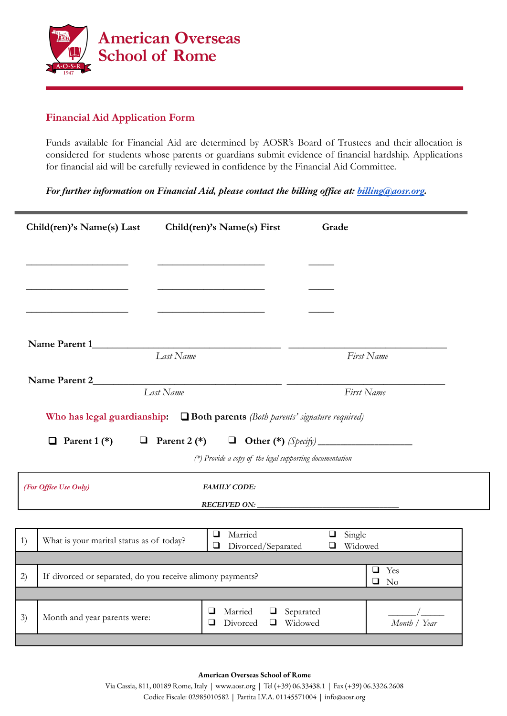

## **Financial Aid Application Form**

Funds available for Financial Aid are determined by AOSR's Board of Trustees and their allocation is considered for students whose parents or guardians submit evidence of financial hardship. Applications for financial aid will be carefully reviewed in confidence by the Financial Aid Committee.

*For further information on Financial Aid, please contact the billing office at: [billing@aosr.org](mailto:billing@aosr.org).*

| Child(ren)'s Name(s) Last                                                          | Child(ren)'s Name(s) First                                                                                              | Grade                                |  |  |  |
|------------------------------------------------------------------------------------|-------------------------------------------------------------------------------------------------------------------------|--------------------------------------|--|--|--|
|                                                                                    |                                                                                                                         |                                      |  |  |  |
|                                                                                    | <u> 1989 - Johann Barnett, fransk politiker (</u>                                                                       |                                      |  |  |  |
|                                                                                    |                                                                                                                         |                                      |  |  |  |
|                                                                                    |                                                                                                                         |                                      |  |  |  |
| Name Parent 1                                                                      | Last Name                                                                                                               | First Name                           |  |  |  |
| Name Parent 2                                                                      |                                                                                                                         |                                      |  |  |  |
| Last Name<br>First Name                                                            |                                                                                                                         |                                      |  |  |  |
| Who has legal guardianship: $\Box$ Both parents (Both parents' signature required) |                                                                                                                         |                                      |  |  |  |
| $\Box$ Parent 1 (*)                                                                | <b>a</b> Parent 2 (*) <b>a</b> Other (*) $(S\text{perify})$<br>(*) Provide a copy of the legal supporting documentation |                                      |  |  |  |
| (For Office Use Only)                                                              |                                                                                                                         |                                      |  |  |  |
|                                                                                    | RECEIVED ON:                                                                                                            |                                      |  |  |  |
| What is your marital status as of today?<br>1)                                     | Married<br>$\Box$<br>Divorced/Separated<br>❏                                                                            | $\Box$ Single<br>Widowed<br>$\Box$   |  |  |  |
| If divorced or separated, do you receive alimony payments?<br>2)                   |                                                                                                                         | $\Box$ Yes<br>$\square$ No           |  |  |  |
|                                                                                    |                                                                                                                         |                                      |  |  |  |
| 3)<br>Month and year parents were:                                                 | Married<br>⊔<br>⊔<br>Divorced<br>⊔<br>⊔                                                                                 | Separated<br>Widowed<br>Month / Year |  |  |  |